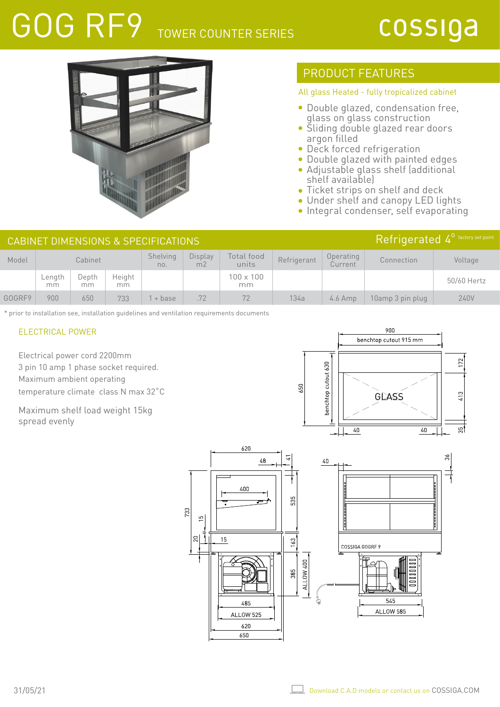# GOG RF9 TOWER COUNTER SERIES

## cossiga



### PRODUCT FEATURES

#### All glass Heated - fully tropicalized cabinet

- Double glazed, condensation free, glass on glass construction
- Sliding double glazed rear doors argon filled
- Deck forced refrigeration
- Double glazed with painted edges Adjustable glass shelf (additional
- shelf available) Ticket strips on shelf and deck  $\bullet$
- Under shelf and canopy LED lights
- **Integral condenser, self evaporating**

| Refrigerated 4 <sup>°</sup> factory set point<br>CABINET DIMENSIONS & SPECIFICATIONS |              |             |               |                 |                           |                        |             |                      |                  |             |
|--------------------------------------------------------------------------------------|--------------|-------------|---------------|-----------------|---------------------------|------------------------|-------------|----------------------|------------------|-------------|
| Model                                                                                | Cabinet      |             |               | Shelving<br>no. | Display<br>m <sub>2</sub> | Total food<br>units    | Refrigerant | Operating<br>Current | Connection       | Voltage     |
|                                                                                      | Length<br>mm | Depth<br>mm | Height<br>mm. |                 |                           | $100 \times 100$<br>mm |             |                      |                  | 50/60 Hertz |
| GOGRE9                                                                               | 900          | 650         | 733           | + base          | .72                       | 72                     | 134a        | $4.6$ Amp            | 10amp 3 pin plug | 240V        |

\* prior to installation see, installation guidelines and ventilation requirements documents

#### ELECTRICAL POWER

Electrical power cord 2200mm 3 pin 10 amp 1 phase socket required. Maximum ambient operating temperature climate class N max 32˚C

Maximum shelf load weight 15kg spread evenly



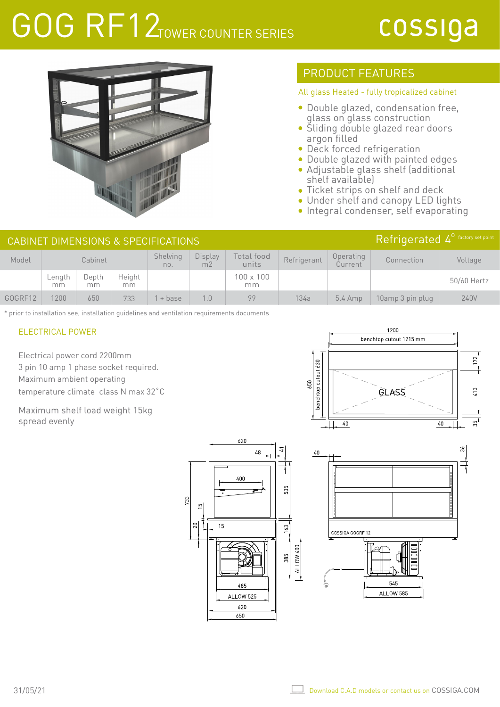# GOG RF12TOWER COUNTER SERIES

## cossiga



### PRODUCT FEATURES

#### All glass Heated - fully tropicalized cabinet

- Double glazed, condensation free, glass on glass construction
- Sliding double glazed rear doors argon filled
- Deck forced refrigeration
- Double glazed with painted edges Adjustable glass shelf (additional
- shelf available) Ticket strips on shelf and deck
- Under shelf and canopy LED lights
- **Integral condenser, self evaporating**

| Refrigerated $4^{\circ}$ factory set point<br>CABINET DIMENSIONS & SPECIFICATIONS |              |              |              |                 |                           |                        |             |                                   |                  |             |
|-----------------------------------------------------------------------------------|--------------|--------------|--------------|-----------------|---------------------------|------------------------|-------------|-----------------------------------|------------------|-------------|
| Model                                                                             | Cabinet      |              |              | Shelving<br>no. | Display<br>m <sub>2</sub> | Total food<br>units    | Refrigerant | Operating<br>Current <sup>1</sup> | Connection       | Voltage     |
|                                                                                   | Length<br>mm | Depth<br>mm. | Height<br>mm |                 |                           | $100 \times 100$<br>mm |             |                                   |                  | 50/60 Hertz |
| GOGRF12                                                                           | 1200         | 650          | 733          | l + base        | 1.0                       | 99                     | 134a        | $5.4$ Amp                         | 10amp 3 pin plug | 240V        |

620

400

485

ALLOW 525 620 650

733 S

g

15

 $\sqrt{2}8$ 

535

 $63$ 

ALLOW 400 385

\* prior to installation see, installation guidelines and ventilation requirements documents

#### ELECTRICAL POWER

Electrical power cord 2200mm 3 pin 10 amp 1 phase socket required. Maximum ambient operating temperature climate class N max 32˚C

Maximum shelf load weight 15kg spread evenly